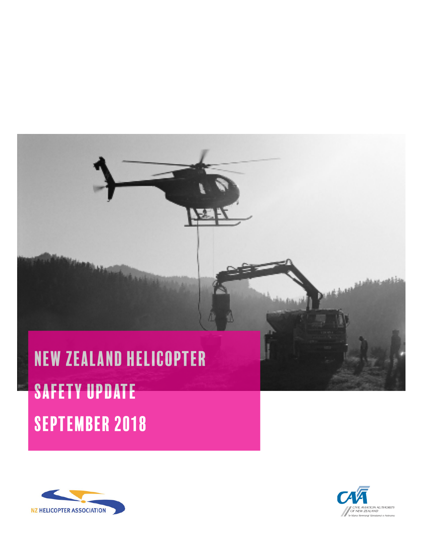# New Zealand helicopter Safety Update september 2018





فأقصصهن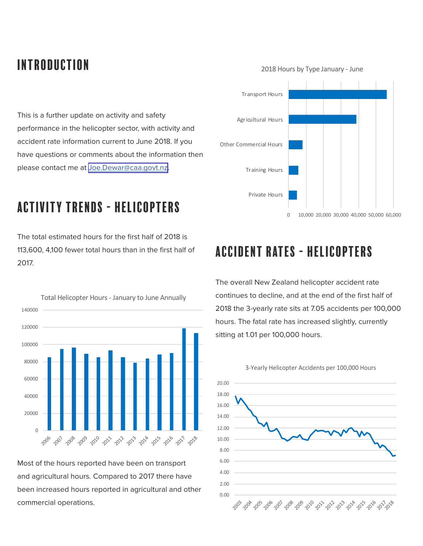# introduction

2018 Hours by Type January - June



# activity trends - helicopters

The total estimated hours for the first half of 2018 is 113,600, 4,100 fewer total hours than in the first half of 2017.



Most of the hours reported have been on transport and agricultural hours. Compared to 2017 there have been increased hours reported in agricultural and other commercial operations.



# accident rates - helicopters

The overall New Zealand helicopter accident rate continues to decline, and at the end of the first half of 2018 the 3-yearly rate sits at 7.05 accidents per 100,000 hours. The fatal rate has increased slightly, currently sitting at 1.01 per 100,000 hours.

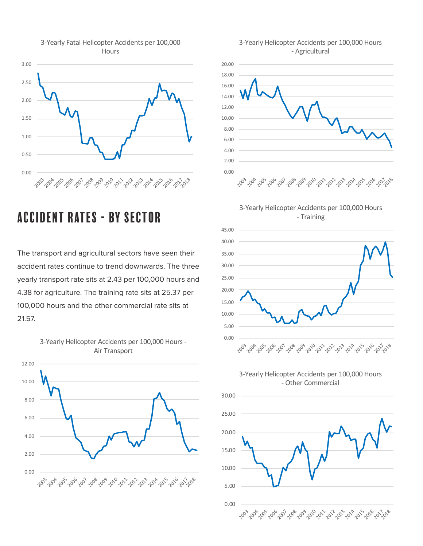

#### 3-Yearly Fatal Helicopter Accidents per 100,000 **Hours**

### accident rates - by sector

The transport and agricultural sectors have seen their accident rates continue to trend downwards. The three yearly transport rate sits at 2.43 per 100,000 hours and 4.38 for agriculture. The training rate sits at 25.37 per 100,000 hours and the other commercial rate sits at 21.57.

3-Yearly Helicopter Accidents per 100,000 Hours -







3-Yearly Helicopter Accidents per 100,000 Hours - Training



3-Yearly Helicopter Accidents per 100,000 Hours - Other Commercial

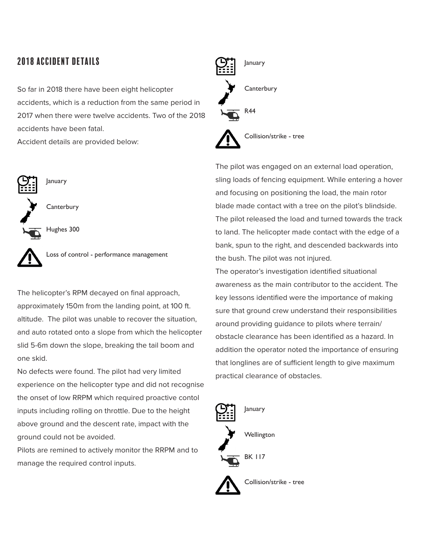### 2018 accident details

So far in 2018 there have been eight helicopter accidents, which is a reduction from the same period in 2017 when there were twelve accidents. Two of the 2018 accidents have been fatal.

Accident details are provided below:



January

**Canterbury** 



Loss of control - performance management

The helicopter's RPM decayed on final approach, approximately 150m from the landing point, at 100 ft. altitude. The pilot was unable to recover the situation, and auto rotated onto a slope from which the helicopter slid 5-6m down the slope, breaking the tail boom and one skid.

No defects were found. The pilot had very limited experience on the helicopter type and did not recognise the onset of low RRPM which required proactive contol inputs including rolling on throttle. Due to the height above ground and the descent rate, impact with the ground could not be avoided.

Pilots are remined to actively monitor the RRPM and to manage the required control inputs.



Collision/strike - tree

The pilot was engaged on an external load operation, sling loads of fencing equipment. While entering a hover and focusing on positioning the load, the main rotor blade made contact with a tree on the pilot's blindside. The pilot released the load and turned towards the track to land. The helicopter made contact with the edge of a bank, spun to the right, and descended backwards into the bush. The pilot was not injured.

The operator's investigation identified situational awareness as the main contributor to the accident. The key lessons identified were the importance of making sure that ground crew understand their responsibilities around providing guidance to pilots where terrain/ obstacle clearance has been identified as a hazard. In addition the operator noted the importance of ensuring that longlines are of sufficient length to give maximum practical clearance of obstacles.

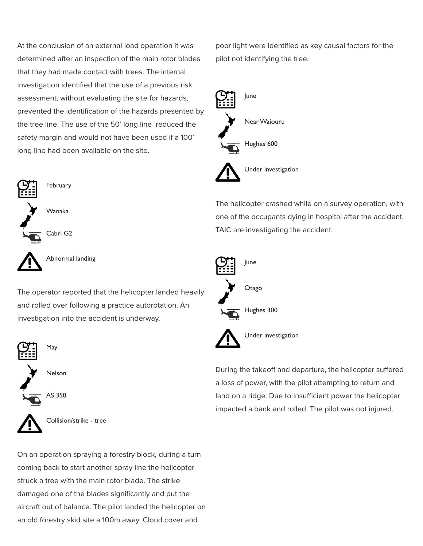At the conclusion of an external load operation it was determined after an inspection of the main rotor blades that they had made contact with trees. The internal investigation identified that the use of a previous risk assessment, without evaluating the site for hazards, prevented the identification of the hazards presented by the tree line. The use of the 50' long line reduced the safety margin and would not have been used if a 100' long line had been available on the site.



Abnormal landing

The operator reported that the helicopter landed heavily and rolled over following a practice autorotation. An investigation into the accident is underway.







Collision/strike - tree

On an operation spraying a forestry block, during a turn coming back to start another spray line the helicopter struck a tree with the main rotor blade. The strike damaged one of the blades significantly and put the aircraft out of balance. The pilot landed the helicopter on an old forestry skid site a 100m away. Cloud cover and

poor light were identified as key causal factors for the pilot not identifying the tree.



The helicopter crashed while on a survey operation, with one of the occupants dying in hospital after the accident. TAIC are investigating the accident.



During the takeoff and departure, the helicopter suffered a loss of power, with the pilot attempting to return and land on a ridge. Due to insufficient power the helicopter impacted a bank and rolled. The pilot was not injured.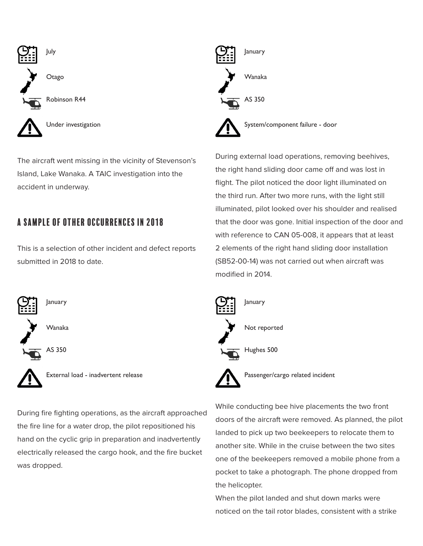

The aircraft went missing in the vicinity of Stevenson's Island, Lake Wanaka. A TAIC investigation into the accident in underway.

### A Sample of other occurrences in 2018

This is a selection of other incident and defect reports submitted in 2018 to date.



External load - inadvertent release

During fire fighting operations, as the aircraft approached the fire line for a water drop, the pilot repositioned his hand on the cyclic grip in preparation and inadvertently electrically released the cargo hook, and the fire bucket was dropped.



During external load operations, removing beehives, the right hand sliding door came off and was lost in flight. The pilot noticed the door light illuminated on the third run. After two more runs, with the light still illuminated, pilot looked over his shoulder and realised that the door was gone. Initial inspection of the door and with reference to CAN 05-008, it appears that at least 2 elements of the right hand sliding door installation (SB52-00-14) was not carried out when aircraft was modified in 2014.



Passenger/cargo related incident

While conducting bee hive placements the two front doors of the aircraft were removed. As planned, the pilot landed to pick up two beekeepers to relocate them to another site. While in the cruise between the two sites one of the beekeepers removed a mobile phone from a pocket to take a photograph. The phone dropped from the helicopter.

When the pilot landed and shut down marks were noticed on the tail rotor blades, consistent with a strike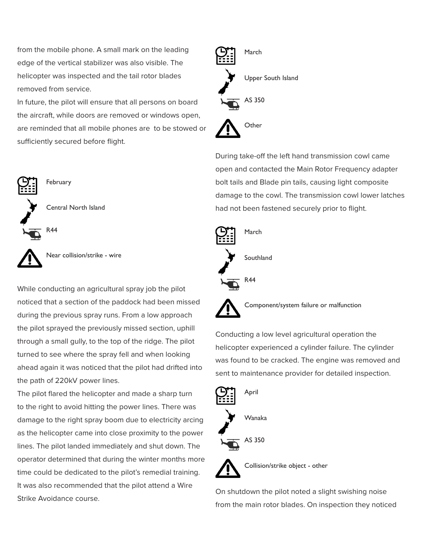from the mobile phone. A small mark on the leading edge of the vertical stabilizer was also visible. The helicopter was inspected and the tail rotor blades removed from service.

In future, the pilot will ensure that all persons on board the aircraft, while doors are removed or windows open, are reminded that all mobile phones are to be stowed or sufficiently secured before flight.



February

Central North Island

R44

Near collision/strike - wire

While conducting an agricultural spray job the pilot noticed that a section of the paddock had been missed during the previous spray runs. From a low approach the pilot sprayed the previously missed section, uphill through a small gully, to the top of the ridge. The pilot turned to see where the spray fell and when looking ahead again it was noticed that the pilot had drifted into the path of 220kV power lines.

The pilot flared the helicopter and made a sharp turn to the right to avoid hitting the power lines. There was damage to the right spray boom due to electricity arcing as the helicopter came into close proximity to the power lines. The pilot landed immediately and shut down. The operator determined that during the winter months more time could be dedicated to the pilot's remedial training. It was also recommended that the pilot attend a Wire Strike Avoidance course.



During take-off the left hand transmission cowl came open and contacted the Main Rotor Frequency adapter bolt tails and Blade pin tails, causing light composite damage to the cowl. The transmission cowl lower latches had not been fastened securely prior to flight.



Component/system failure or malfunction

Conducting a low level agricultural operation the helicopter experienced a cylinder failure. The cylinder was found to be cracked. The engine was removed and sent to maintenance provider for detailed inspection.



Collision/strike object - other

On shutdown the pilot noted a slight swishing noise from the main rotor blades. On inspection they noticed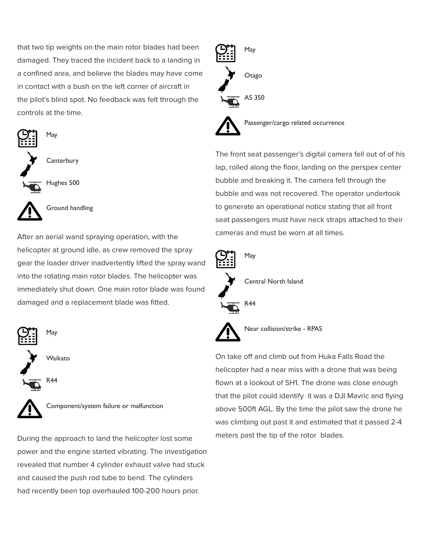that two tip weights on the main rotor blades had been damaged. They traced the incident back to a landing in a confined area, and believe the blades may have come in contact with a bush on the left corner of aircraft in the pilot's blind spot. No feedback was felt through the controls at the time.







Ground handling

After an aerial wand spraying operation, with the helicopter at ground idle, as crew removed the spray gear the loader driver inadvertently lifted the spray wand into the rotating main rotor blades. The helicopter was immediately shut down. One main rotor blade was found damaged and a replacement blade was fitted.



Component/system failure or malfunction

During the approach to land the helicopter lost some power and the engine started vibrating. The investigation revealed that number 4 cylinder exhaust valve had stuck and caused the push rod tube to bend. The cylinders had recently been top overhauled 100-200 hours prior.



The front seat passenger's digital camera fell out of of his lap, rolled along the floor, landing on the perspex center bubble and breaking it. The camera fell through the bubble and was not recovered. The operator undertook to generate an operational notice stating that all front seat passengers must have neck straps attached to their cameras and must be worn at all times.





On take off and climb out from Huka Falls Road the helicopter had a near miss with a drone that was being flown at a lookout of SH1. The drone was close enough that the pilot could identify it was a DJI Mavric and flying above 500ft AGL. By the time the pilot saw the drone he was climbing out past it and estimated that it passed 2-4 meters past the tip of the rotor blades.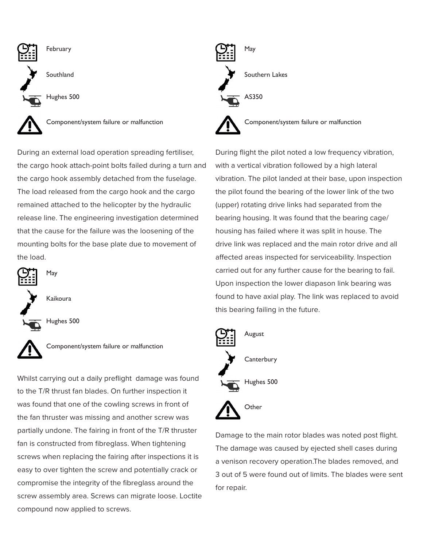

During an external load operation spreading fertiliser, the cargo hook attach-point bolts failed during a turn and the cargo hook assembly detached from the fuselage. The load released from the cargo hook and the cargo remained attached to the helicopter by the hydraulic release line. The engineering investigation determined that the cause for the failure was the loosening of the mounting bolts for the base plate due to movement of the load.



Component/system failure or malfunction

Whilst carrying out a daily preflight damage was found to the T/R thrust fan blades. On further inspection it was found that one of the cowling screws in front of the fan thruster was missing and another screw was partially undone. The fairing in front of the T/R thruster fan is constructed from fibreglass. When tightening screws when replacing the fairing after inspections it is easy to over tighten the screw and potentially crack or compromise the integrity of the fibreglass around the screw assembly area. Screws can migrate loose. Loctite compound now applied to screws.



During flight the pilot noted a low frequency vibration, with a vertical vibration followed by a high lateral vibration. The pilot landed at their base, upon inspection the pilot found the bearing of the lower link of the two (upper) rotating drive links had separated from the bearing housing. It was found that the bearing cage/ housing has failed where it was split in house. The drive link was replaced and the main rotor drive and all affected areas inspected for serviceability. Inspection carried out for any further cause for the bearing to fail. Upon inspection the lower diapason link bearing was found to have axial play. The link was replaced to avoid this bearing failing in the future.



Damage to the main rotor blades was noted post flight. The damage was caused by ejected shell cases during a venison recovery operation.The blades removed, and 3 out of 5 were found out of limits. The blades were sent for repair.